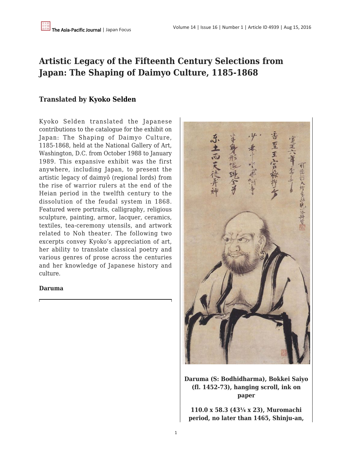# **Artistic Legacy of the Fifteenth Century Selections from Japan: The Shaping of Daimyo Culture, 1185-1868**

## **Translated by [Kyoko Selden](https://apjjf.org/-Kyoko-Selden)**

Kyoko Selden translated the Japanese contributions to the catalogue for the exhibit on Japan: The Shaping of Daimyo Culture, 1185-1868, held at the National Gallery of Art, Washington, D.C. from October 1988 to January 1989. This expansive exhibit was the first anywhere, including Japan, to present the artistic legacy of daimyō (regional lords) from the rise of warrior rulers at the end of the Heian period in the twelfth century to the dissolution of the feudal system in 1868. Featured were portraits, calligraphy, religious sculpture, painting, armor, lacquer, ceramics, textiles, tea-ceremony utensils, and artwork related to Noh theater. The following two excerpts convey Kyoko's appreciation of art, her ability to translate classical poetry and various genres of prose across the centuries and her knowledge of Japanese history and culture.

#### **Daruma**



**Daruma (S: Bodhidharma), Bokkei Saiyo (fl. 1452-73), hanging scroll, ink on paper**

**110.0 x 58.3 (43¼ x 23), Muromachi period, no later than 1465, Shinju-an,**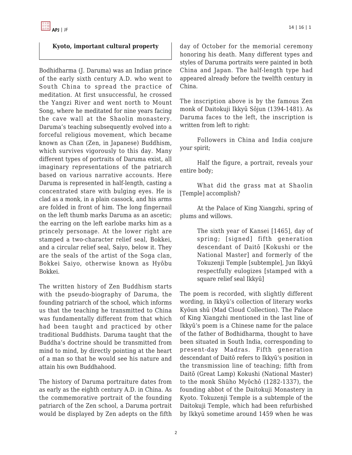## **Kyoto, important cultural property**

Bodhidharma (J. Daruma) was an Indian prince of the early sixth century A.D. who went to South China to spread the practice of meditation. At first unsuccessful, he crossed the Yangzi River and went north to Mount Song, where he meditated for nine years facing the cave wall at the Shaolin monastery. Daruma's teaching subsequently evolved into a forceful religious movement, which became known as Chan (Zen, in Japanese) Buddhism, which survives vigorously to this day. Many different types of portraits of Daruma exist, all imaginary representations of the patriarch based on various narrative accounts. Here Daruma is represented in half-length, casting a concentrated stare with bulging eyes. He is clad as a monk, in a plain cassock, and his arms are folded in front of him. The long fingernail on the left thumb marks Daruma as an ascetic; the earring on the left earlobe marks him as a princely personage. At the lower right are stamped a two-character relief seal, Bokkei, and a circular relief seal, Saiyo, below it. They are the seals of the artist of the Soga clan, Bokkei Saiyo, otherwise known as Hyōbu Bokkei.

The written history of Zen Buddhism starts with the pseudo-biography of Daruma, the founding patriarch of the school, which informs us that the teaching he transmitted to China was fundamentally different from that which had been taught and practiced by other traditional Buddhists. Daruma taught that the Buddha's doctrine should be transmitted from mind to mind, by directly pointing at the heart of a man so that he would see his nature and attain his own Buddhahood.

The history of Daruma portraiture dates from as early as the eighth century A.D. in China. As the commemorative portrait of the founding patriarch of the Zen school, a Daruma portrait would be displayed by Zen adepts on the fifth day of October for the memorial ceremony honoring his death. Many different types and styles of Daruma portraits were painted in both China and Japan. The half-length type had appeared already before the twelfth century in China.

The inscription above is by the famous Zen monk of Daitokuji Ikkyū Sōjun (1394-1481). As Daruma faces to the left, the inscription is written from left to right:

Followers in China and India conjure your spirit;

Half the figure, a portrait, reveals your entire body;

What did the grass mat at Shaolin [Temple] accomplish?

At the Palace of King Xiangzhi, spring of plums and willows.

> The sixth year of Kansei [1465], day of spring; [signed] fifth generation descendant of Daitō [Kokushi or the National Master] and formerly of the Tokuzenji Temple [subtemple], Jun Ikkyū respectfully eulogizes [stamped with a square relief seal Ikkyū]

The poem is recorded, with slightly different wording, in Ikkyū's collection of literary works Kyōun shū (Mad Cloud Collection). The Palace of King Xiangzhi mentioned in the last line of Ikkyū's poem is a Chinese name for the palace of the father of Bodhidharma, thought to have been situated in South India, corresponding to present-day Madras. Fifth generation descendant of Daitō refers to Ikkyū's position in the transmission line of teaching; fifth from Daitō (Great Lamp) Kokushi (National Master) to the monk Shūho Myōchō (1282-1337), the founding abbot of the Daitokuji Monastery in Kyoto. Tokuzenji Temple is a subtemple of the Daitokuji Temple, which had been refurbished by Ikkyū sometime around 1459 when he was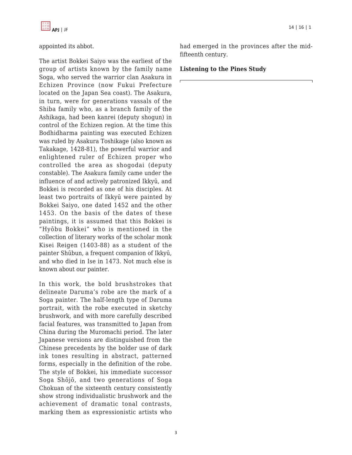

appointed its abbot.

The artist Bokkei Saiyo was the earliest of the group of artists known by the family name Soga, who served the warrior clan Asakura in Echizen Province (now Fukui Prefecture located on the Japan Sea coast). The Asakura, in turn, were for generations vassals of the Shiba family who, as a branch family of the Ashikaga, had been kanrei (deputy shogun) in control of the Echizen region. At the time this Bodhidharma painting was executed Echizen was ruled by Asakura Toshikage (also known as Takakage, 1428-81), the powerful warrior and enlightened ruler of Echizen proper who controlled the area as shogodai (deputy constable). The Asakura family came under the influence of and actively patronized Ikkyū, and Bokkei is recorded as one of his disciples. At least two portraits of Ikkyū were painted by Bokkei Saiyo, one dated 1452 and the other 1453. On the basis of the dates of these paintings, it is assumed that this Bokkei is "Hyōbu Bokkei" who is mentioned in the collection of literary works of the scholar monk Kisei Reigen (1403-88) as a student of the painter Shūbun, a frequent companion of Ikkyū, and who died in Ise in 1473. Not much else is known about our painter.

In this work, the bold brushstrokes that delineate Daruma's robe are the mark of a Soga painter. The half-length type of Daruma portrait, with the robe executed in sketchy brushwork, and with more carefully described facial features, was transmitted to Japan from China during the Muromachi period. The later Japanese versions are distinguished from the Chinese precedents by the bolder use of dark ink tones resulting in abstract, patterned forms, especially in the definition of the robe. The style of Bokkei, his immediate successor Soga Shōjō, and two generations of Soga Chokuan of the sixteenth century consistently show strong individualistic brushwork and the achievement of dramatic tonal contrasts, marking them as expressionistic artists who had emerged in the provinces after the midfifteenth century.

#### **Listening to the Pines Study**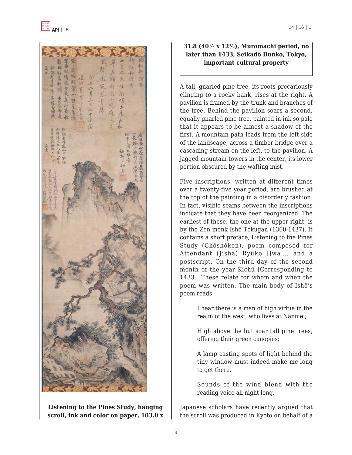

**Listening to the Pines Study, hanging scroll, ink and color on paper, 103.0 x**

## **31.8 (40½ x 12½), Muromachi period, no later than 1433, Seikadō Bunko, Tokyo, important cultural property**

A tall, gnarled pine tree, its roots precariously clinging to a rocky bank, rises at the right. A pavilion is framed by the trunk and branches of the tree. Behind the pavilion soars a second, equally gnarled pine tree, painted in ink so pale that it appears to be almost a shadow of the first. A mountain path leads from the left side of the landscape, across a timber bridge over a cascading stream on the left, to the pavilion. A jagged mountain towers in the center, its lower portion obscured by the wafting mist.

Five inscriptions, written at different times over a twenty-five year period, are brushed at the top of the painting in a disorderly fashion. In fact, visible seams between the inscriptions indicate that they have been reorganized. The earliest of these, the one at the upper right, is by the Zen monk Ishō Tokugan (1360-1437). It contains a short preface, Listening to the Pines Study (Chōshōken), poem composed for Attendant (Jisha) Ryūko []wa…, and a postscript, On the third day of the second month of the year Kichū [Corresponding to 1433]. These relate for whom and when the poem was written. The main body of Ishō's poem reads:

> I hear there is a man of high virtue in the realm of the west, who lives at Nanmei;

> High above the hut soar tall pine trees, offering their green canopies;

> A lamp casting spots of light behind the tiny window must indeed make me long to get there.

> Sounds of the wind blend with the reading voice all night long.

Japanese scholars have recently argued that the scroll was produced in Kyoto on behalf of a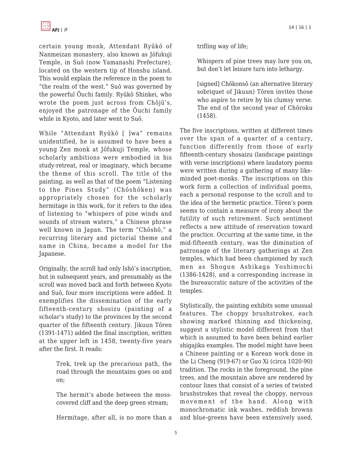certain young monk, Attendant Ryūkō of Nanmeizan monastery, also known as Jōfukuji Temple, in Suō (now Yamanashi Prefecture), located on the western tip of Honshu island. This would explain the reference in the poem to "the realm of the west." Suō was governed by the powerful Ōuchi family. Ryūkō Shinkei, who wrote the poem just across from Chōjū's, enjoyed the patronage of the Ōuchi family while in Kyoto, and later went to Suō.

While "Attendant Ryūkō [ ]wa" remains unidentified, he is assumed to have been a young Zen monk at Jōfukuji Temple, whose scholarly ambitions were embodied in his study-retreat, real or imaginary, which became the theme of this scroll. The title of the painting, as well as that of the poem "Listening to the Pines Study" (Chōshōken) was appropriately chosen for the scholarly hermitage in this work, for it refers to the idea of listening to "whispers of pine winds and sounds of stream waters," a Chinese phrase well known in Japan. The term "Chōshō," a recurring literary and pictorial theme and name in China, became a model for the Japanese.

Originally, the scroll had only Ishō's inscription, but in subsequent years, and presumably as the scroll was moved back and forth between Kyoto and Suō, four more inscriptions were added. It exemplifies the dissemination of the early fifteenth-century shosizu (painting of a scholar's study) to the provinces by the second quarter of the fifteenth century. Jikuun Tōren (1391-1471) added the final inscription, written at the upper left in 1458, twenty-five years after the first. It reads:

> Trek, trek up the precarious path, the road through the mountains goes on and on;

> The hermit's abode between the mosscovered cliff and the deep green stream;

> Hermitage, after all, is no more than a

trifling way of life;

Whispers of pine trees may lure you on, but don't let leisure turn into lethargy.

[signed] Chōkonsō (an alternative literary sobriquet of Jikuun) Tōren invites those who aspire to retire by his clumsy verse. The end of the second year of Chōroku (1458).

The five inscriptions, written at different times over the span of a quarter of a century, function differently from those of early fifteenth-century shosaizu (landscape paintings with verse inscriptions) where laudatory poems were written during a gathering of many likeminded poet-monks. The inscriptions on this work form a collection of individual poems, each a personal response to the scroll and to the idea of the hermetic practice. Tōren's poem seems to contain a measure of irony about the futility of such retirement. Such sentiment reflects a new attitude of reservation toward the practice. Occurring at the same time, in the mid-fifteenth century, was the diminution of patronage of the literary gatherings at Zen temples, which had been championed by such men as Shogun Ashikaga Yoshimochi (1386-1428), and a corresponding increase in the bureaucratic nature of the activities of the temples.

Stylistically, the painting exhibits some unusual features. The choppy brushstrokes, each showing marked thinning and thickening, suggest a stylistic model different from that which is assumed to have been behind earlier shigajiku examples. The model might have been a Chinese painting or a Korean work done in the Li Cheng (919-67) or Guo Xi (circa 1020-90) tradition. The rocks in the foreground, the pine trees, and the mountain above are rendered by contour lines that consist of a series of twisted brushstrokes that reveal the choppy, nervous movement of the hand. Along with monochromatic ink washes, reddish browns and blue-greens have been extensively used,